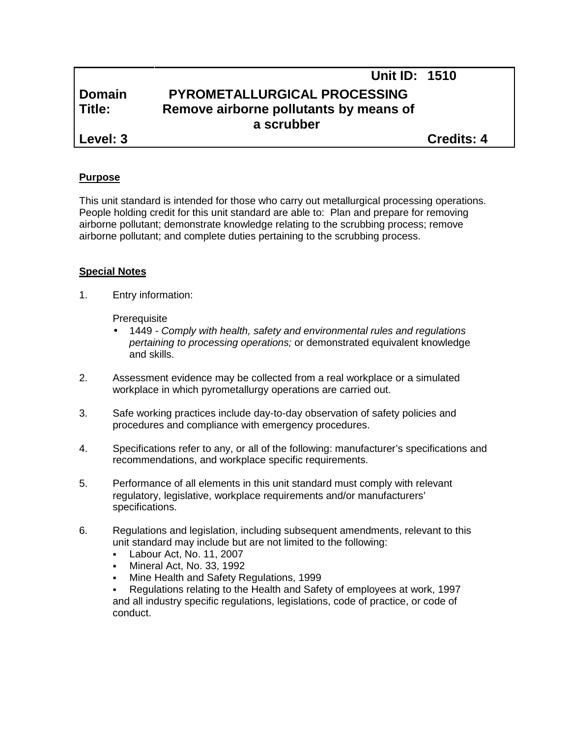# **Unit ID: 1510 Domain PYROMETALLURGICAL PROCESSING Title: Remove airborne pollutants by means of a scrubber**

**Level: 3 Credits: 4**

## **Purpose**

This unit standard is intended for those who carry out metallurgical processing operations. People holding credit for this unit standard are able to: Plan and prepare for removing airborne pollutant; demonstrate knowledge relating to the scrubbing process; remove airborne pollutant; and complete duties pertaining to the scrubbing process.

#### **Special Notes**

1. Entry information:

**Prerequisite** 

- 1449 *- Comply with health, safety and environmental rules and regulations pertaining to processing operations;* or demonstrated equivalent knowledge and skills.
- 2. Assessment evidence may be collected from a real workplace or a simulated workplace in which pyrometallurgy operations are carried out.
- 3. Safe working practices include day-to-day observation of safety policies and procedures and compliance with emergency procedures.
- 4. Specifications refer to any, or all of the following: manufacturer's specifications and recommendations, and workplace specific requirements.
- 5. Performance of all elements in this unit standard must comply with relevant regulatory, legislative, workplace requirements and/or manufacturers' specifications.
- 6. Regulations and legislation, including subsequent amendments, relevant to this unit standard may include but are not limited to the following:
	- **Labour Act, No. 11, 2007**
	- Mineral Act, No. 33, 1992
	- Mine Health and Safety Regulations, 1999
	- Regulations relating to the Health and Safety of employees at work, 1997 and all industry specific regulations, legislations, code of practice, or code of conduct.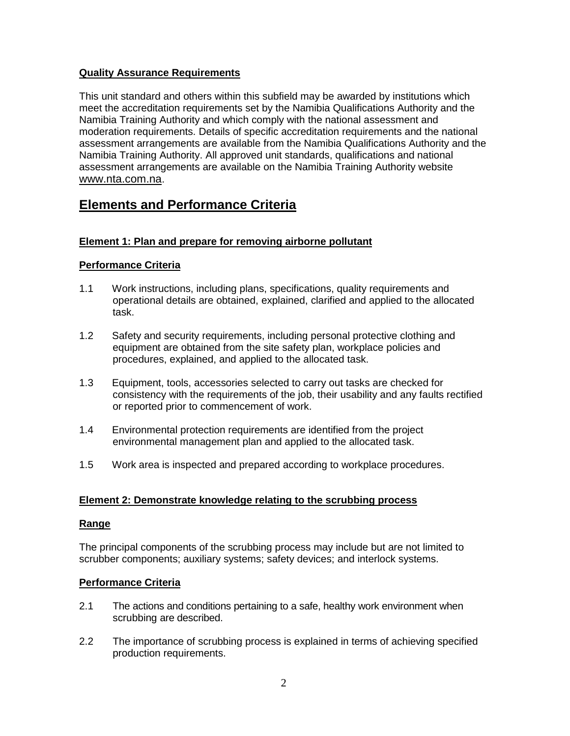#### **Quality Assurance Requirements**

This unit standard and others within this subfield may be awarded by institutions which meet the accreditation requirements set by the Namibia Qualifications Authority and the Namibia Training Authority and which comply with the national assessment and moderation requirements. Details of specific accreditation requirements and the national assessment arrangements are available from the Namibia Qualifications Authority and the Namibia Training Authority. All approved unit standards, qualifications and national assessment arrangements are available on the Namibia Training Authority website www.nta.com.na.

## **Elements and Performance Criteria**

## **Element 1: Plan and prepare for removing airborne pollutant**

## **Performance Criteria**

- 1.1 Work instructions, including plans, specifications, quality requirements and operational details are obtained, explained, clarified and applied to the allocated task.
- 1.2 Safety and security requirements, including personal protective clothing and equipment are obtained from the site safety plan, workplace policies and procedures, explained, and applied to the allocated task.
- 1.3 Equipment, tools, accessories selected to carry out tasks are checked for consistency with the requirements of the job, their usability and any faults rectified or reported prior to commencement of work.
- 1.4 Environmental protection requirements are identified from the project environmental management plan and applied to the allocated task.
- 1.5 Work area is inspected and prepared according to workplace procedures.

#### **Element 2: Demonstrate knowledge relating to the scrubbing process**

#### **Range**

The principal components of the scrubbing process may include but are not limited to scrubber components; auxiliary systems; safety devices; and interlock systems.

#### **Performance Criteria**

- 2.1 The actions and conditions pertaining to a safe, healthy work environment when scrubbing are described.
- 2.2 The importance of scrubbing process is explained in terms of achieving specified production requirements.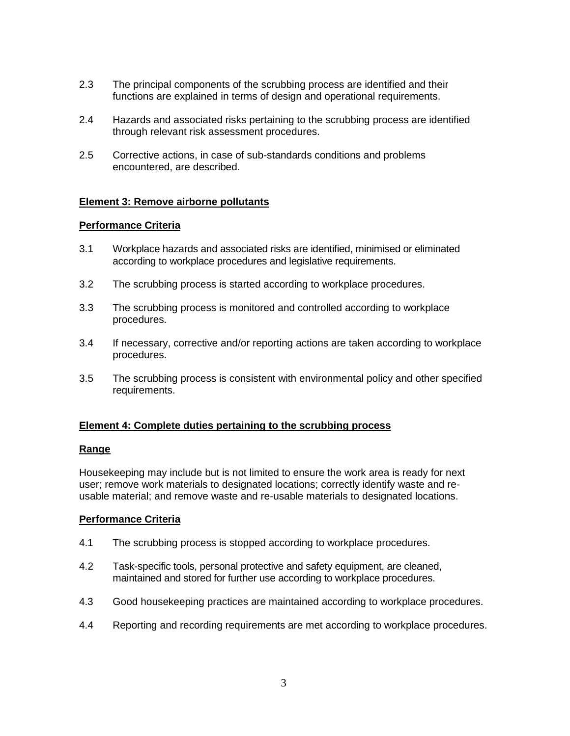- 2.3 The principal components of the scrubbing process are identified and their functions are explained in terms of design and operational requirements.
- 2.4 Hazards and associated risks pertaining to the scrubbing process are identified through relevant risk assessment procedures.
- 2.5 Corrective actions, in case of sub-standards conditions and problems encountered, are described.

#### **Element 3: Remove airborne pollutants**

#### **Performance Criteria**

- 3.1 Workplace hazards and associated risks are identified, minimised or eliminated according to workplace procedures and legislative requirements.
- 3.2 The scrubbing process is started according to workplace procedures.
- 3.3 The scrubbing process is monitored and controlled according to workplace procedures.
- 3.4 If necessary, corrective and/or reporting actions are taken according to workplace procedures.
- 3.5 The scrubbing process is consistent with environmental policy and other specified requirements.

#### **Element 4: Complete duties pertaining to the scrubbing process**

#### **Range**

Housekeeping may include but is not limited to ensure the work area is ready for next user; remove work materials to designated locations; correctly identify waste and re usable material; and remove waste and re-usable materials to designated locations.

#### **Performance Criteria**

- 4.1 The scrubbing process is stopped according to workplace procedures.
- 4.2 Task-specific tools, personal protective and safety equipment, are cleaned, maintained and stored for further use according to workplace procedures.
- 4.3 Good housekeeping practices are maintained according to workplace procedures.
- 4.4 Reporting and recording requirements are met according to workplace procedures.